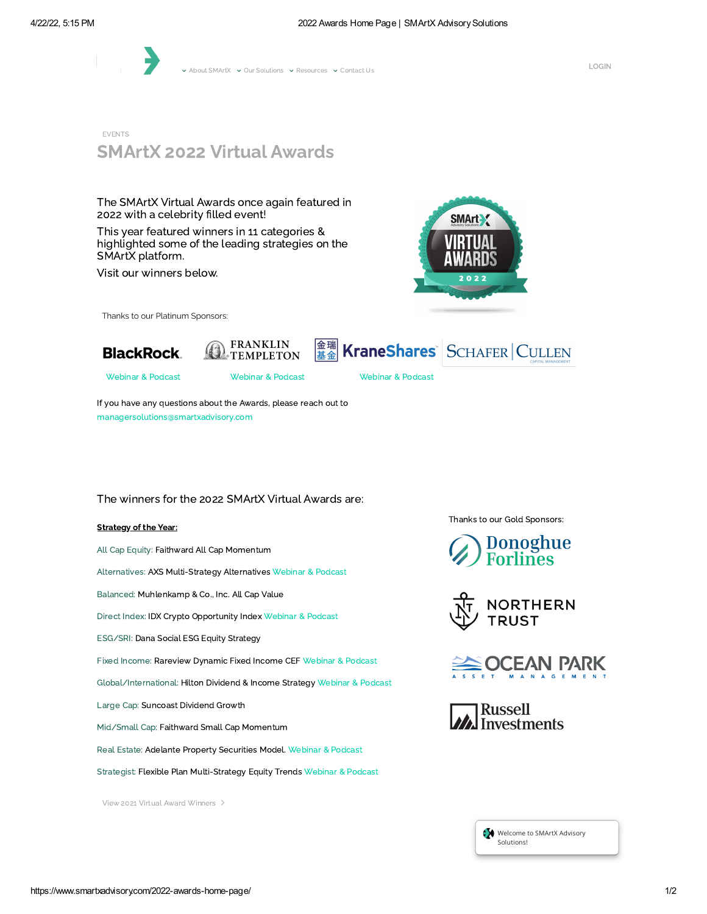

v About [SMArtX](https://www.smartxadvisory.com/about-smartx/) v Our [Solutions](https://www.smartxadvisory.com/our-solutions/) v [Resources](https://www.smartxadvisory.com/resources/) v [Contact](https://www.smartxadvisory.com/contact-us/) Us

EVENTS

# SMArtX 2022 Virtual Awards

The SMArtX Virtual Awards once again featured in 2022 with a celebrity filled event!

This year featured winners in 11 categories & highlighted some of the leading strategies on the SMArtX platform.

Visit our winners below.



Thanks to our Platinum Sponsors:







[Webinar](https://www.smartxadvisory.com/smartx-virtual-awards-firm-spotlight--blackrock/) & Podcast [Webinar](https://www.smartxadvisory.com/smartx-virtual-awards-firm-spotlight-franklin-templeton/) & Podcast [Webinar](https://www.smartxadvisory.com/smartx-virtual-awards-firm-spotlight-krane-shares/) & Podcast

If you have any questions about the Awards, please reach out to [managersolutions@smartxadvisory.com](mailto:managersolutions@smartxadvisory.com)

### The winners for the 2022 SMArtX Virtual Awards are:

### **Strategy of the Year:**

All Cap Equity: Faithward All Cap Momentum

Alternatives: AXS Multi-Strategy Alternatives [Webinar](https://www.smartxadvisory.com/smartx-virtual-awards-strategy-spotlight-axs-multi-strategy-alternatives-2/) & Podcast

Balanced: Muhlenkamp & Co., Inc. All Cap Value

Direct Index: IDX Crypto Opportunity Index [Webinar](https://www.smartxadvisory.com/smartx-virtual-awards-strategy-spotlight-idx-crypto-opportunity-index-2/) & Podcast

ESG/SRI: Dana Social ESG Equity Strategy

Fixed Income: Rareview Dynamic Fixed Income CEF [Webinar](https://www.smartxadvisory.com/smartx-virtual-awards-strategy-spotlight--rareview-dynamic-fixed-income-cef/) & Podcast

Global/International: Hilton Dividend & Income Strategy [Webinar](https://www.smartxadvisory.com/smartx-virtual-awards-strategy-spotlight-hilton-dividend-income/) & Podcast

Large Cap: Suncoast Dividend Growth

Mid/Small Cap: Faithward Small Cap Momentum

Real Estate: Adelante Property Securities Model. [Webinar](https://www.smartxadvisory.com/smartx-virtual-awards-strategy-spotlight-adelante-property-securities) & Podcast

Strategist: Flexible Plan Multi-Strategy Equity Trends [Webinar](https://www.smartxadvisory.com/smartx-virtual-awards-strategy-spotlight-flexible-plan-multi-strategy-equity-trends/) & Podcast

View 2021 Virtual Award [Winners](https://www.smartxadvisory.com/virtual-awards-2021/)

Thanks to our Gold Sponsors: